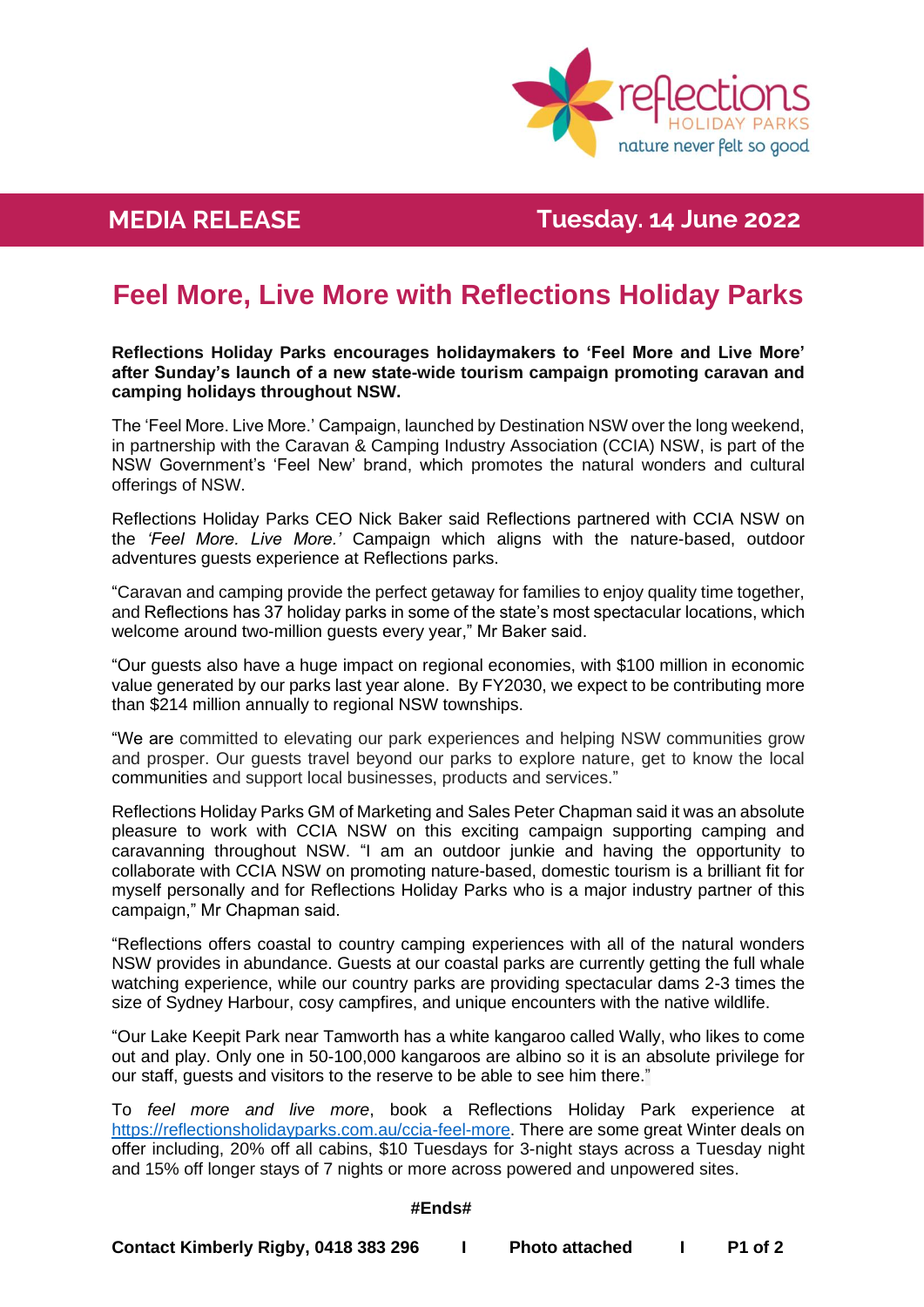

**MEDIA Killalea Reserve News RELEASE Tuesday. 14 June 2022**

# **Feel More, Live More with Reflections Holiday Parks**

**Reflections Holiday Parks encourages holidaymakers to 'Feel More and Live More' after Sunday's launch of a new state-wide tourism campaign promoting caravan and camping holidays throughout NSW.**

The 'Feel More. Live More.' Campaign, launched by Destination NSW over the long weekend, in partnership with the Caravan & Camping Industry Association (CCIA) NSW, is part of the NSW Government's 'Feel New' brand, which promotes the natural wonders and cultural offerings of NSW.

Reflections Holiday Parks CEO Nick Baker said Reflections partnered with CCIA NSW on the *'Feel More. Live More.'* Campaign which aligns with the nature-based, outdoor adventures guests experience at Reflections parks.

"Caravan and camping provide the perfect getaway for families to enjoy quality time together, and Reflections has 37 holiday parks in some of the state's most spectacular locations, which welcome around two-million guests every year," Mr Baker said.

"Our guests also have a huge impact on regional economies, with \$100 million in economic value generated by our parks last year alone. By FY2030, we expect to be contributing more than \$214 million annually to regional NSW townships.

"We are committed to elevating our park experiences and helping NSW communities grow and prosper. Our guests travel beyond our parks to explore nature, get to know the local communities and support local businesses, products and services."

Reflections Holiday Parks GM of Marketing and Sales Peter Chapman said it was an absolute pleasure to work with CCIA NSW on this exciting campaign supporting camping and caravanning throughout NSW. "I am an outdoor junkie and having the opportunity to collaborate with CCIA NSW on promoting nature-based, domestic tourism is a brilliant fit for myself personally and for Reflections Holiday Parks who is a major industry partner of this campaign," Mr Chapman said.

"Reflections offers coastal to country camping experiences with all of the natural wonders NSW provides in abundance. Guests at our coastal parks are currently getting the full whale watching experience, while our country parks are providing spectacular dams 2-3 times the size of Sydney Harbour, cosy campfires, and unique encounters with the native wildlife.

"Our Lake Keepit Park near Tamworth has a white kangaroo called Wally, who likes to come out and play. Only one in 50-100,000 kangaroos are albino so it is an absolute privilege for our staff, guests and visitors to the reserve to be able to see him there."

To *feel more and live more*, book a Reflections Holiday Park experience at [https://reflectionsholidayparks.com.au/ccia-feel-more.](https://reflectionsholidayparks.com.au/ccia-feel-more/) There are some great Winter deals on offer including, 20% off all cabins, \$10 Tuesdays for 3-night stays across a Tuesday night and 15% off longer stays of 7 nights or more across powered and unpowered sites.

### **#Ends#**